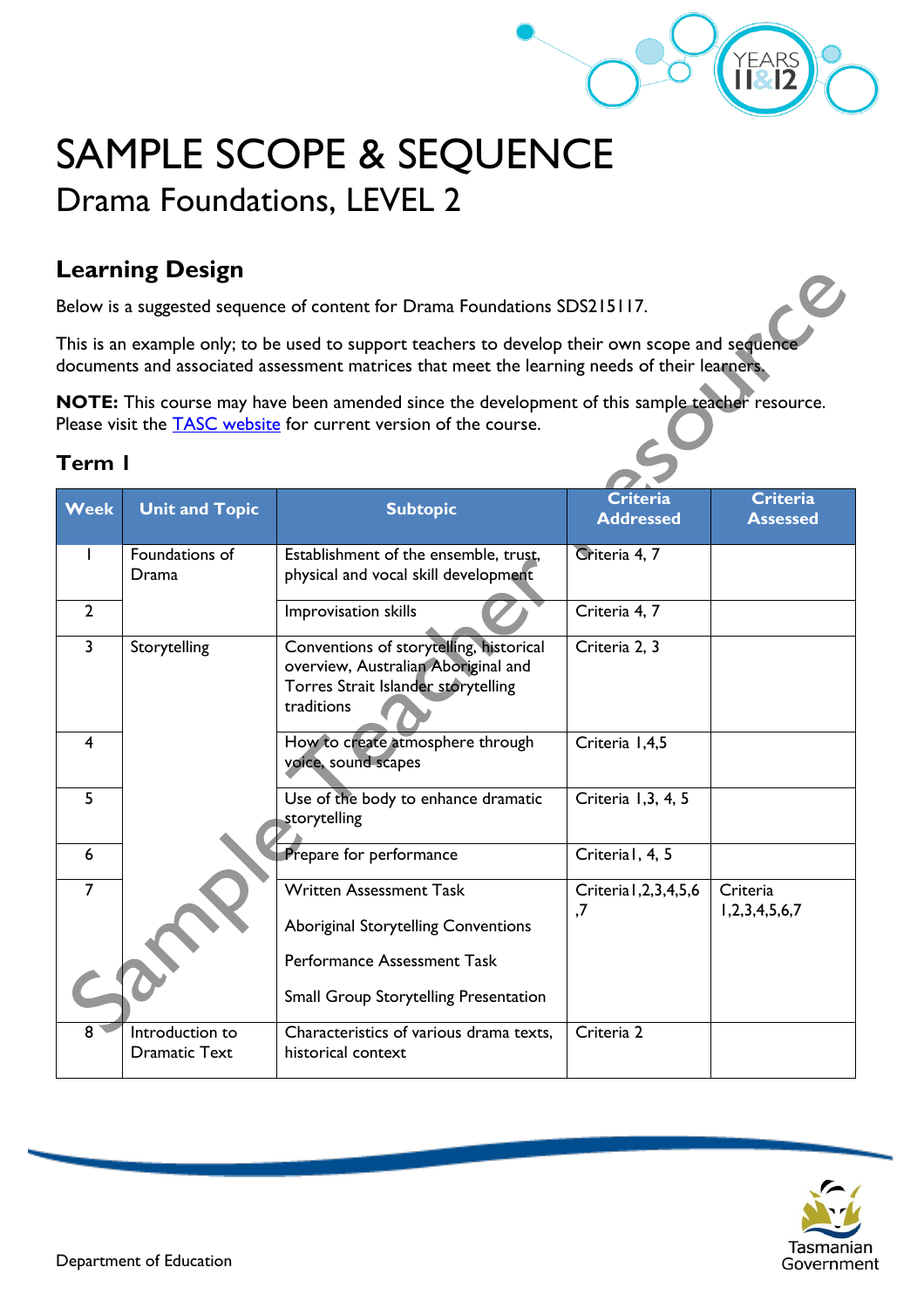

# SAMPLE SCOPE & SEQUENCE Drama Foundations, LEVEL 2

## **Learning Design**

Below is a suggested sequence of content for Drama Foundations SDS215117.

This is an example only; to be used to support teachers to develop their own scope and sequence documents and associated assessment matrices that meet the learning needs of their learners.

**NOTE:** This course may have been amended since the development of this sample teacher resource. Please visit the **TASC** website for current version of the course.

#### **Term 1**

| <b>Week</b>    | <b>Unit and Topic</b>                   | <b>Subtopic</b>                                                                                                                     | <b>Criteria</b><br><b>Addressed</b> | <b>Criteria</b><br><b>Assessed</b> |
|----------------|-----------------------------------------|-------------------------------------------------------------------------------------------------------------------------------------|-------------------------------------|------------------------------------|
|                | Foundations of<br>Drama                 | Establishment of the ensemble, trust,<br>physical and vocal skill development                                                       | Criteria 4, 7                       |                                    |
| $\overline{2}$ |                                         | Improvisation skills                                                                                                                | Criteria 4, 7                       |                                    |
| $\overline{3}$ | Storytelling                            | Conventions of storytelling, historical<br>overview, Australian Aboriginal and<br>Torres Strait Islander storytelling<br>traditions | Criteria 2, 3                       |                                    |
| 4              |                                         | How to create atmosphere through<br>voice, sound scapes                                                                             | Criteria 1,4,5                      |                                    |
| 5              |                                         | Use of the body to enhance dramatic<br>storytelling                                                                                 | Criteria 1,3, 4, 5                  |                                    |
| 6              |                                         | Prepare for performance                                                                                                             | Criterial, 4, 5                     |                                    |
| $\overline{7}$ |                                         | <b>Written Assessment Task</b><br><b>Aboriginal Storytelling Conventions</b>                                                        | Criteria I, 2, 3, 4, 5, 6<br>,7     | Criteria<br>1, 2, 3, 4, 5, 6, 7    |
|                |                                         | Performance Assessment Task<br><b>Small Group Storytelling Presentation</b>                                                         |                                     |                                    |
| 8              | Introduction to<br><b>Dramatic Text</b> | Characteristics of various drama texts,<br>historical context                                                                       | Criteria 2                          |                                    |

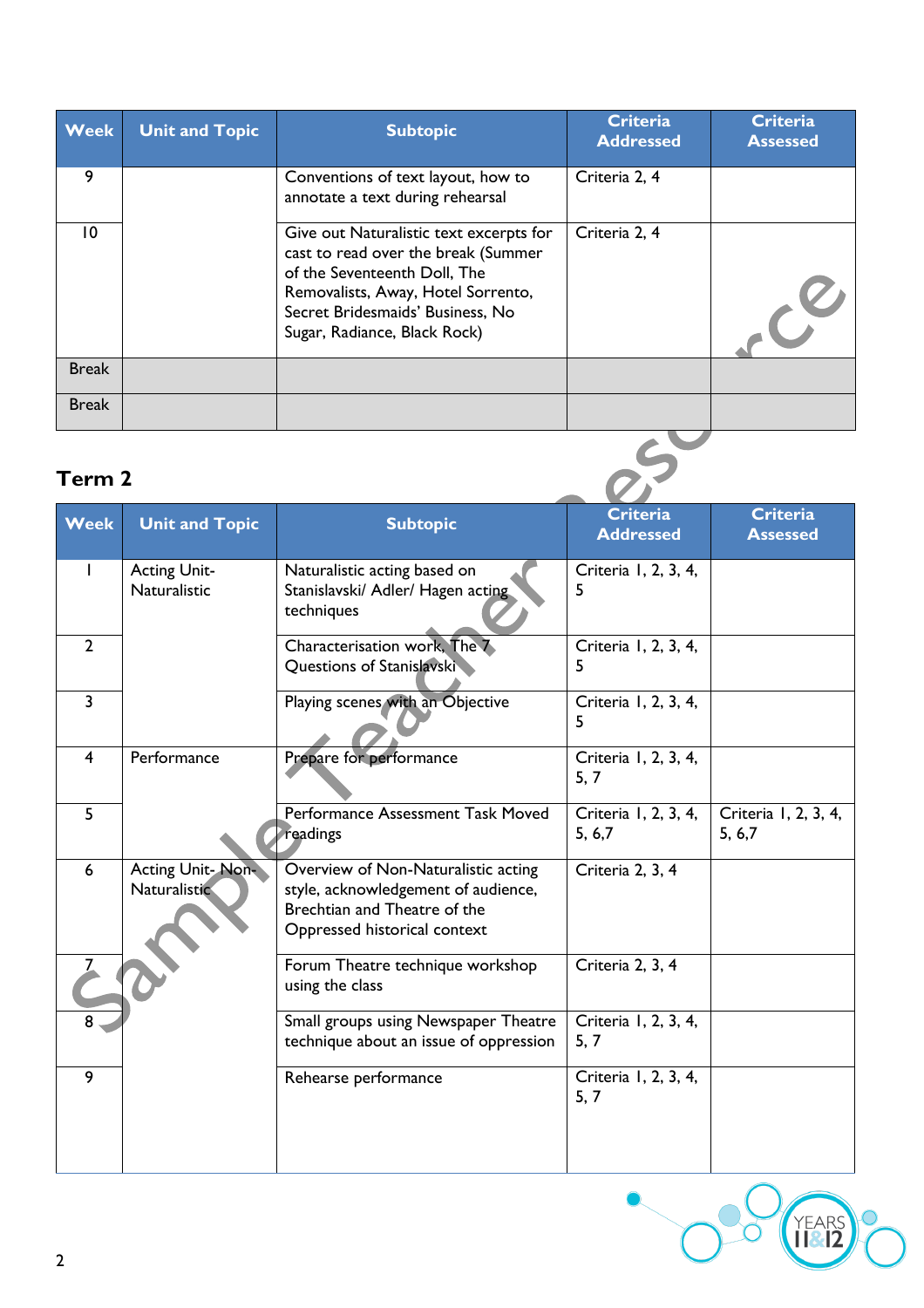| <b>Week</b>  | <b>Unit and Topic</b> | <b>Subtopic</b>                                                                                                                                                                                                          | <b>Criteria</b><br><b>Addressed</b> | <b>Criteria</b><br><b>Assessed</b> |
|--------------|-----------------------|--------------------------------------------------------------------------------------------------------------------------------------------------------------------------------------------------------------------------|-------------------------------------|------------------------------------|
| 9            |                       | Conventions of text layout, how to<br>annotate a text during rehearsal                                                                                                                                                   | Criteria 2, 4                       |                                    |
| 10           |                       | Give out Naturalistic text excerpts for<br>cast to read over the break (Summer<br>of the Seventeenth Doll, The<br>Removalists, Away, Hotel Sorrento,<br>Secret Bridesmaids' Business, No<br>Sugar, Radiance, Black Rock) | Criteria 2, 4                       |                                    |
| <b>Break</b> |                       |                                                                                                                                                                                                                          |                                     |                                    |
| <b>Break</b> |                       |                                                                                                                                                                                                                          |                                     |                                    |

## **Term 2**

| <b>Week</b>    | <b>Unit and Topic</b>                      | <b>Subtopic</b>                                                                                                                            | <b>Criteria</b><br><b>Addressed</b> | <b>Criteria</b><br><b>Assessed</b> |
|----------------|--------------------------------------------|--------------------------------------------------------------------------------------------------------------------------------------------|-------------------------------------|------------------------------------|
|                | <b>Acting Unit-</b><br><b>Naturalistic</b> | Naturalistic acting based on<br>Stanislavski/ Adler/ Hagen acting<br>techniques                                                            | Criteria 1, 2, 3, 4,<br>5           |                                    |
| $\overline{2}$ |                                            | Characterisation work, The 7<br>Questions of Stanislavski                                                                                  | Criteria 1, 2, 3, 4,<br>5           |                                    |
| $\overline{3}$ |                                            | Playing scenes with an Objective                                                                                                           | Criteria 1, 2, 3, 4,<br>5           |                                    |
| $\overline{4}$ | Performance                                | Prepare for performance                                                                                                                    | Criteria 1, 2, 3, 4,<br>5, 7        |                                    |
| 5              |                                            | Performance Assessment Task Moved<br>readings                                                                                              | Criteria 1, 2, 3, 4,<br>5, 6, 7     | Criteria 1, 2, 3, 4,<br>5, 6, 7    |
| 6              | Acting Unit-Non-<br>Naturalistic           | Overview of Non-Naturalistic acting<br>style, acknowledgement of audience,<br>Brechtian and Theatre of the<br>Oppressed historical context | Criteria 2, 3, 4                    |                                    |
|                |                                            | Forum Theatre technique workshop<br>using the class                                                                                        | Criteria 2, 3, 4                    |                                    |
| 8              |                                            | Small groups using Newspaper Theatre<br>technique about an issue of oppression                                                             | Criteria 1, 2, 3, 4,<br>5, 7        |                                    |
| 9              |                                            | Rehearse performance                                                                                                                       | Criteria 1, 2, 3, 4,<br>5, 7        |                                    |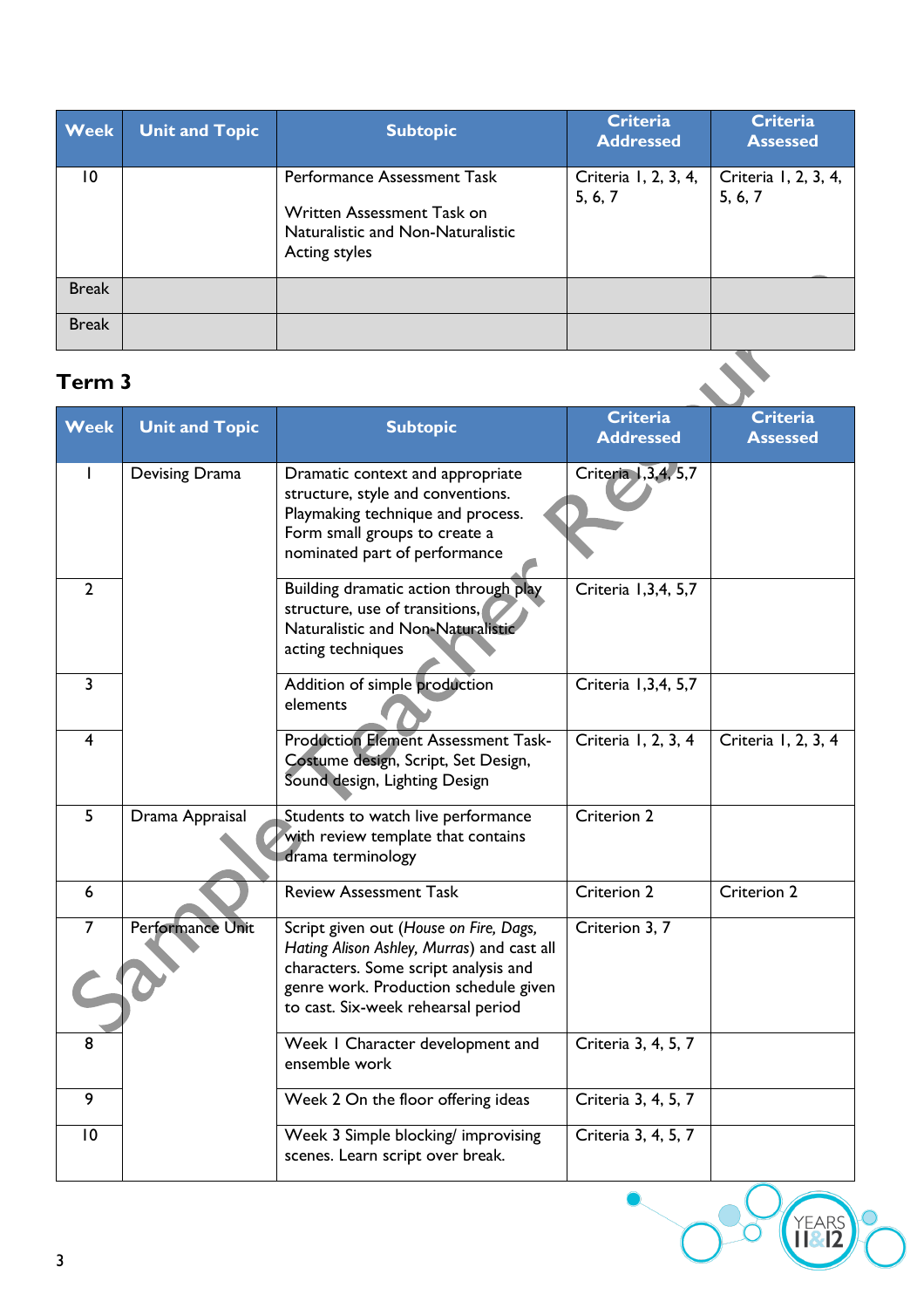| <b>Week</b>     | <b>Unit and Topic</b> | <b>Subtopic</b>                                                                                                 | <b>Criteria</b><br><b>Addressed</b> | <b>Criteria</b><br><b>Assessed</b> |
|-----------------|-----------------------|-----------------------------------------------------------------------------------------------------------------|-------------------------------------|------------------------------------|
| $\overline{10}$ |                       | Performance Assessment Task<br>Written Assessment Task on<br>Naturalistic and Non-Naturalistic<br>Acting styles | Criteria 1, 2, 3, 4,<br>5, 6, 7     | Criteria 1, 2, 3, 4,<br>5, 6, 7    |
| <b>Break</b>    |                       |                                                                                                                 |                                     |                                    |
| <b>Break</b>    |                       |                                                                                                                 |                                     |                                    |
| Term 3          |                       |                                                                                                                 |                                     |                                    |

### **Term 3**

| <b>Week</b>             | <b>Unit and Topic</b> | <b>Subtopic</b>                                                                                                                                                                                             | <b>Criteria</b><br><b>Addressed</b> | <b>Criteria</b><br><b>Assessed</b> |
|-------------------------|-----------------------|-------------------------------------------------------------------------------------------------------------------------------------------------------------------------------------------------------------|-------------------------------------|------------------------------------|
|                         | Devising Drama        | Dramatic context and appropriate<br>structure, style and conventions.<br>Playmaking technique and process.<br>Form small groups to create a<br>nominated part of performance                                | Criteria 1,3,4, 5,7                 |                                    |
| $\overline{2}$          |                       | Building dramatic action through play<br>structure, use of transitions,<br>Naturalistic and Non-Naturalistic<br>acting techniques                                                                           | Criteria 1,3,4, 5,7                 |                                    |
| $\overline{3}$          |                       | Addition of simple production<br>elements                                                                                                                                                                   | Criteria 1,3,4, 5,7                 |                                    |
| $\overline{\mathbf{4}}$ |                       | <b>Production Element Assessment Task-</b><br>Costume design, Script, Set Design,<br>Sound design, Lighting Design                                                                                          | Criteria 1, 2, 3, 4                 | Criteria 1, 2, 3, 4                |
| 5                       | Drama Appraisal       | Students to watch live performance<br>with review template that contains<br>drama terminology                                                                                                               | Criterion 2                         |                                    |
| $6\phantom{1}$          |                       | <b>Review Assessment Task</b>                                                                                                                                                                               | Criterion 2                         | Criterion 2                        |
| $\overline{7}$          | Performance Unit      | Script given out (House on Fire, Dags,<br>Hating Alison Ashley, Murras) and cast all<br>characters. Some script analysis and<br>genre work. Production schedule given<br>to cast. Six-week rehearsal period | Criterion 3, 7                      |                                    |
| 8                       |                       | Week I Character development and<br>ensemble work                                                                                                                                                           | Criteria 3, 4, 5, 7                 |                                    |
| 9                       |                       | Week 2 On the floor offering ideas                                                                                                                                                                          | Criteria 3, 4, 5, 7                 |                                    |
| 10                      |                       | Week 3 Simple blocking/ improvising<br>scenes. Learn script over break.                                                                                                                                     | Criteria 3, 4, 5, 7                 |                                    |

YEARS<br>182